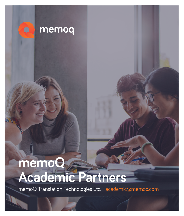

# **memoQ Academic Partners**

memoQ Translation Technologies Ltd. academic@memoq.com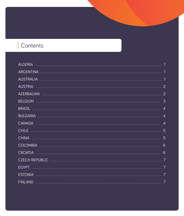# Contents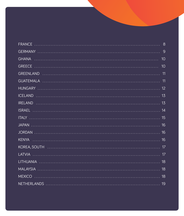| 10 <sup>°</sup> |
|-----------------|
|                 |
|                 |
|                 |
|                 |
|                 |
|                 |
|                 |
|                 |
| 16              |
| 16              |
|                 |
|                 |
|                 |
|                 |
|                 |
|                 |
|                 |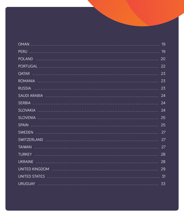|                                                                                                                | 20 |
|----------------------------------------------------------------------------------------------------------------|----|
|                                                                                                                | 22 |
|                                                                                                                | 23 |
|                                                                                                                | 23 |
|                                                                                                                | 23 |
| SAUDI ARABIA ALLE ELECTRICIALE ELECTRICALE SAUDI ARABIA ALLE ELECTRICIALE ELECTRICIALE ELECTRICIALE ELECTRICIA | 24 |
|                                                                                                                | 24 |
|                                                                                                                | 24 |
|                                                                                                                | 25 |
|                                                                                                                | 25 |
|                                                                                                                | 27 |
| SWITZERLAND<br>$\cdots$ 27                                                                                     |    |
|                                                                                                                | 27 |
|                                                                                                                | 28 |
|                                                                                                                | 28 |
| UNITED KINGDOM ALLELLARIA AND ANNO ALLELLARIA ALLELLARIA ALLELLARIA ALLELLARIA ALLELLARIA ALLELLARIA ALLELLARI | 29 |
|                                                                                                                |    |
|                                                                                                                |    |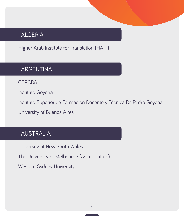## <span id="page-4-0"></span>ALGERIA

Higher Arab Institute for Translation (HAIT)

## ARGENTINA

**CTPCBA** 

Instituto Goyena

Instituto Superior de Formación Docente y Técnica Dr. Pedro Goyena

University of Buenos Aires

## AUSTRALIA

University of New South Wales

The University of Melbourne (Asia Institute)

Western Sydney University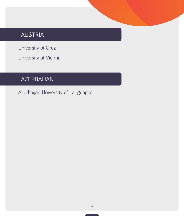# <span id="page-5-0"></span>AUSTRIA

University of Graz

University of Vienna

## AZERBAIJAN

Azerbaijan University of Languages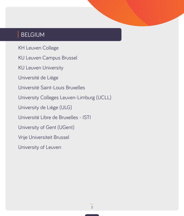## <span id="page-6-0"></span>BELGIUM

KH Leuven College

KU Leuven Campus Brussel

KU Leuven University

Université de Liège

Université Saint-Louis Bruxelles

University Colleges Leuven-Limburg (UCLL)

University de Liége (ULG)

Université Libre de Bruxelles - ISTI

University of Gent (UGent)

Vrije Universiteit Brussel

University of Leuven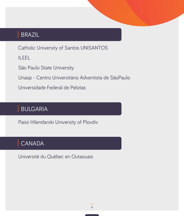## <span id="page-7-0"></span>BRAZIL

Catholic University of Santos UNISANTOS

ILEEL

São Paulo State University

Unasp - Centro Universitário Adventista de SãoPaulo

Universidade Federal de Pelotas

## BULGARIA

Paisii Hilendarski University of Plovdiv

## CANADA

Université du Québec en Outaouais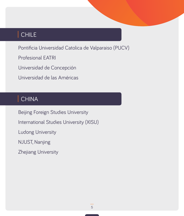## <span id="page-8-0"></span>CHILE

Pontificia Universidad Catolica de Valparaiso (PUCV)

Profesional EATRI

Universidad de Concepción

Universidad de las Américas

## CHINA

Beijing Foreign Studies University International Studies University (XISU) Ludong University NJUST, Nanjing Zhejiang University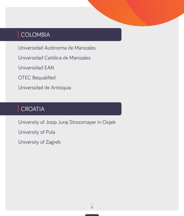## <span id="page-9-0"></span>COLOMBIA

Universidad Autónoma de Manizales

Universidad Católica de Manizales

Universidad EAN

OTEC Bequalified

Universidad de Antioquia

## CROATIA

University of Josip Juraj Strossmayer in Osijek

University of Pula

University of Zagreb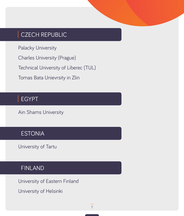#### <span id="page-10-0"></span>CZECH REPUBLIC

Palacky University

Charles University (Prague)

Technical University of Liberec (TUL)

Tomas Bata Unievrsity in Zlin

## EGYPT

Ain Shams University

## **ESTONIA**

University of Tartu

#### FINLAND

University of Eastern Finland

University of Helsinki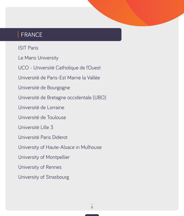## <span id="page-11-0"></span>FRANCE

ISIT Paris

Le Mans University

UCO - Université Catholique de l'Ouest

Université de Paris-Est Marne la Vallée

Université de Bourgogne

Université de Bretagne occidentale (UBO)

Université de Lorraine

Université de Toulouse

Université Lille 3

Université Paris Diderot

University of Haute-Alsace in Mulhouse

University of Montpellier

University of Rennes

University of Strasbourg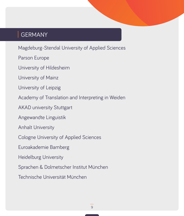#### <span id="page-12-0"></span>GERMANY

Magdeburg-Stendal University of Applied Sciences

Parson Europe

University of Hildesheim

University of Mainz

University of Leipzig

Academy of Translation and Interpreting in Weiden

**AKAD university Stuttgart** 

Angewandte Linguistik

Anhalt University

Cologne University of Applied Sciences

Euroakademie Bamberg

Heidelburg University

Sprachen & Dolmetscher Institut München

Technische Universität München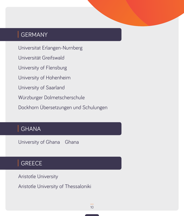## <span id="page-13-0"></span>GERMANY

Universitat Erlangen-Nurnberg Universität Greifswald University of Flensburg University of Hohenheim University of Saarland Würzburger Dolmetscherschule

Dockhorn Übersetzungen und Schulungen

## GHANA

University of Ghana Ghana

## **GREECE**

Aristotle University

Aristotle University of Thessaloniki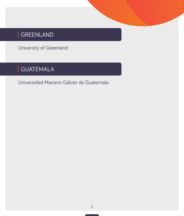# <span id="page-14-0"></span>GREENLAND

University of Greenland

# GUATEMALA

Universidad Mariano Gálvez de Guatemala

11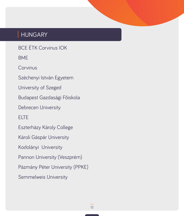## <span id="page-15-0"></span>HUNGARY

BCE ÉTK Corvinus IOK

BME

**Corvinus** 

Széchenyi István Egyetem

University of Szeged

Budapest Gazdasági Főiskola

Debrecen University

ELTE

Eszterházy Károly College

Károli Gáspár University

Kodolányi University

Pannon University (Veszprém)

Pázmány Péter University (PPKE)

Semmelweis University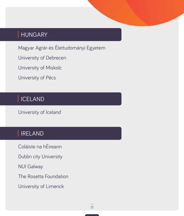## <span id="page-16-0"></span>HUNGARY

Magyar Agrár-és Élettudományi Egyetem

University of Debrecen

University of Miskolc

University of Pécs

## ICELAND

University of Iceland

## IRELAND

Coláiste na hÉireann

Dublin city University

NUI Galway

The Rosetta Foundation

University of Limerick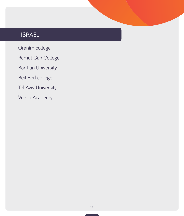# <span id="page-17-0"></span>ISRAEL

Oranim college

Ramat Gan College

Bar-Ilan University

Beit Berl college

Tel Aviv University

Versio Academy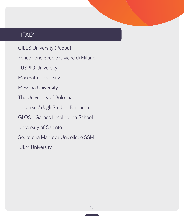## <span id="page-18-0"></span>ITALY

CIELS University (Padua)

Fondazione Scuole Civiche di Milano

LUSPIO University

Macerata University

Messina University

The University of Bologna

Universita' degli Studi di Bergamo

GLOS - Games Localization School

University of Salento

Segreteria Mantova Unicollege SSML

IULM University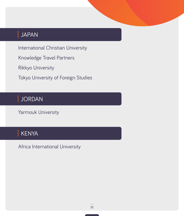## <span id="page-19-0"></span>JAPAN

International Christian University

Knowledge Travel Partners

Rikkyo University

Tokyo University of Foreign Studies

## JORDAN

Yarmouk University

# KENYA

Africa International University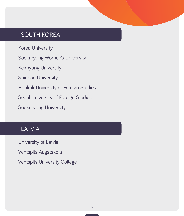## <span id="page-20-0"></span>SOUTH KOREA

Korea University

Sookmyung Women's University

Keimyung University

Shinhan University

Hankuk University of Foreign Studies

Seoul University of Foreign Studies

Sookmyung University

## LATVIA

University of Latvia

Ventspils Augstskola

Ventspils University College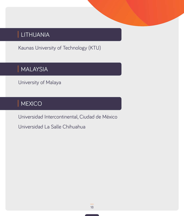# <span id="page-21-0"></span>LITHUANIA

Kaunas University of Technology (KTU)

## MALAYSIA

University of Malaya

## **MEXICO**

Universidad Intercontinental, Ciudad de México

Universidad La Salle Chihuahua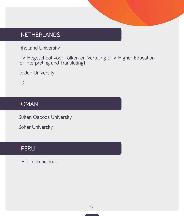## <span id="page-22-0"></span>NETHERLANDS

Inholland University

ITV Hogeschool voor Tolken en Vertaling (ITV Higher Education for Interpreting and Translating)

Leiden University

LOI

## OMAN

Sultan Qaboos University

Sohar University

#### PERU

UPC Internacional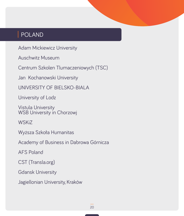## <span id="page-23-0"></span>POLAND

Adam Mickiewicz University

Auschwitz Museum

Centrum Szkolen Tlumaczeniowych (TSC)

Jan Kochanowski University

UNIVERSITY OF BIELSKO-BIALA

University of Lodz

Vistula University WSB University in Chorzowj

**WSKiZ** 

Wyższa Szkoła Humanitas

Academy of Business in Dabrowa Górnicza

AFS Poland

CST (Transla.org)

Gdansk University

Jagiellonian University, Kraków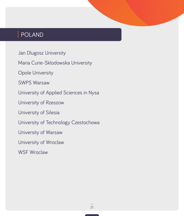## POLAND

Jan Dlugosz University

Maria Curie-Sklodowska University

Opole University

SWPS Warsaw

University of Applied Sciences in Nysa

University of Rzeszow

University of Silesia

University of Technology Czestochowa

University of Warsaw

University of Wroclaw

WSF Wroclaw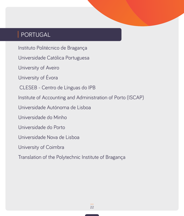## <span id="page-25-0"></span>PORTUGAL

Instituto Politécnico de Bragança

Universidade Católica Portuguesa

University of Aveiro

University of Évora

CLESEB - Centro de Línguas do IPB

Institute of Accounting and Administration of Porto (ISCAP)

Universidade Autónoma de Lisboa

Universidade do Minho

Universidade do Porto

Universidade Nova de Lisboa

University of Coimbra

Translation of the Polytechnic Institute of Bragança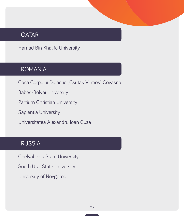## <span id="page-26-0"></span>**QATAR**

Hamad Bin Khalifa University

## ROMANIA

Casa Corpului Didactic "Csutak Vilmos" Covasna

Babeș-Bolyai University

Partium Christian University

Sapientia University

Universitatea Alexandru Ioan Cuza

## RUSSIA

Chelyabinsk State University South Ural State University University of Novgorod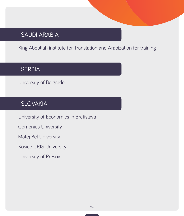## <span id="page-27-0"></span>SAUDI ARABIA

King Abdullah institute for Translation and Arabization for training

## SERBIA

University of Belgrade

## SLOVAKIA

University of Economics in Bratislava

Comenius University

Matej Bel University

Košice UPJS University

University of Prešov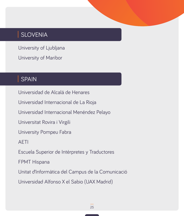## <span id="page-28-0"></span>SLOVENIA

University of Ljubljana

University of Maribor

## SPAIN

Universidad de Alcalá de Henares Universidad Internacional de La Rioja Universidad Internacional Menéndez Pelayo Universitat Rovira i Virgili University Pompeu Fabra AETI Escuela Superior de Intérpretes y Traductores FPMT Hispana Unitat d'Informàtica del Campus de la Comunicació Universidad Alfonso X el Sabio (UAX Madrid)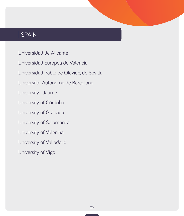## SPAIN

Universidad de Alicante Universidad Europea de Valencia Universidad Pablo de Olavide, de Sevilla Universitat Autonoma de Barcelona University I Jaume University of Córdoba University of Granada University of Salamanca University of Valencia University of Valladolid University of Vigo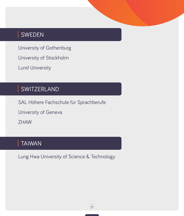## <span id="page-30-0"></span>SWEDEN

University of Gothenburg

University of Stockholm

Lund University

## SWITZERLAND

SAL Höhere Fachschule für Sprachberufe University of Geneva ZHAW

## TAIWAN

Lung Hwa University of Science & Technology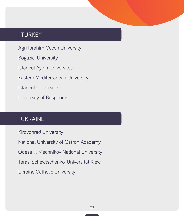## <span id="page-31-0"></span>TURKEY

Agri Ibrahim Cecen University Bogazici University İstanbul Aydin Üniversitesi Eastern Mediterranean University İstanbul Üniversitesi University of Bosphorus

## UKRAINE

Kirovohrad University National University of Ostroh Academy Odesa I.I. Mechnikov National University Taras-Schewtschenko-Universität Kiew Ukraine Catholic University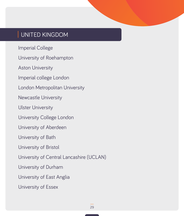#### <span id="page-32-0"></span>UNITED KINGDOM

Imperial College

University of Roehampton

Aston University

Imperial college London

London Metropolitan University

Newcastle University

Ulster University

University College London

University of Aberdeen

University of Bath

University of Bristol

University of Central Lancashire (UCLAN)

University of Durham

University of East Anglia

University of Essex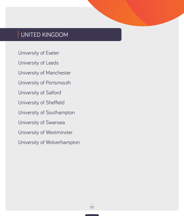## UNITED KINGDOM

University of Exeter

University of Leeds

University of Manchester

University of Portsmouth

University of Salford

University of Sheffield

University of Southampton

University of Swansea

University of Westminster

University of Wolverhampton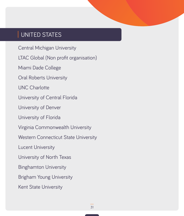#### <span id="page-34-0"></span>UNITED STATES

Central Michigan University

LTAC Global (Non profit organisation)

Miami Dade College

Oral Roberts University

UNC Charlotte

University of Central Florida

University of Denver

University of Florida

Virginia Commonwealth University

Western Connecticut State University

Lucent University

University of North Texas

Binghamton University

Brigham Young University

Kent State University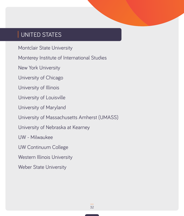#### UNITED STATES

Montclair State University

Monterey Institute of International Studies

New York University

University of Chicago

University of Illinois

University of Louisville

University of Maryland

University of Massachusetts Amherst (UMASS)

University of Nebraska at Kearney

UW - Milwaukee

UW Continuum College

Western Illinois University

Weber State University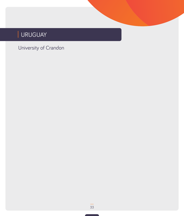# <span id="page-36-0"></span>URUGUAY

## University of Crandon